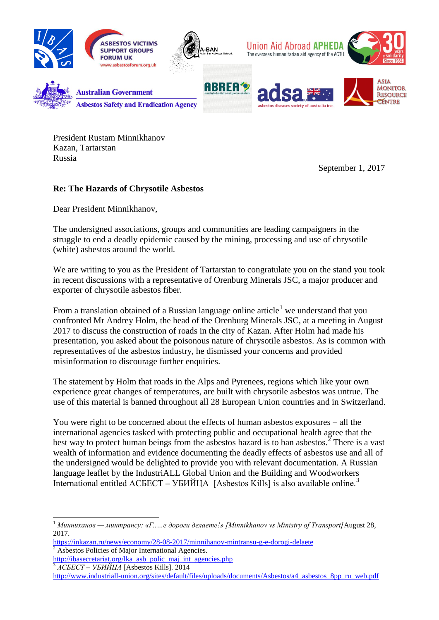

President Rustam Minnikhanov Kazan, Tartarstan Russia

September 1, 2017

## **Re: The Hazards of Chrysotile Asbestos**

Dear President Minnikhanov,

The undersigned associations, groups and communities are leading campaigners in the struggle to end a deadly epidemic caused by the mining, processing and use of chrysotile (white) asbestos around the world.

We are writing to you as the President of Tartarstan to congratulate you on the stand you took in recent discussions with a representative of Orenburg Minerals JSC, a major producer and exporter of chrysotile asbestos fiber.

From a translation obtained of a Russian language online article<sup>[1](#page-0-0)</sup> we understand that you confronted Mr Andrey Holm, the head of the Orenburg Minerals JSC, at a meeting in August 2017 to discuss the construction of roads in the city of Kazan. After Holm had made his presentation, you asked about the poisonous nature of chrysotile asbestos. As is common with representatives of the asbestos industry, he dismissed your concerns and provided misinformation to discourage further enquiries.

The statement by Holm that roads in the Alps and Pyrenees, regions which like your own experience great changes of temperatures, are built with chrysotile asbestos was untrue. The use of this material is banned throughout all 28 European Union countries and in Switzerland.

You were right to be concerned about the effects of human asbestos exposures – all the international agencies tasked with protecting public and occupational health agree that the best way to protect human beings from the asbestos hazard is to ban asbestos. $^{2}$  $^{2}$  $^{2}$  There is a vast wealth of information and evidence documenting the deadly effects of asbestos use and all of the undersigned would be delighted to provide you with relevant documentation. A Russian language leaflet by the IndustriALL Global Union and the Building and Woodworkers International entitled ACБЕСТ – УБИЙЦА [Asbestos Kills] is also available online.<sup>[3](#page-0-2)</sup>

<span id="page-0-0"></span><sup>1</sup> *Минниханов — минтрансу: «Г..…е дороги делаете!» [Minnikhanov vs Ministry of Transport]*August 28, 2017.

<https://inkazan.ru/news/economy/28-08-2017/minnihanov-mintransu-g-e-dorogi-delaete> <sup>2</sup> Asbestos Policies of Major International Agencies.

<span id="page-0-1"></span>[http://ibasecretariat.org/lka\\_asb\\_polic\\_maj\\_int\\_agencies.php](http://ibasecretariat.org/lka_asb_polic_maj_int_agencies.php) <sup>3</sup> *АСБЕСТ – УБИЙЦА* [Asbestos Kills]. 2014

<span id="page-0-2"></span>[http://www.industriall-union.org/sites/default/files/uploads/documents/Asbestos/a4\\_asbestos\\_8pp\\_ru\\_web.pdf](http://www.industriall-union.org/sites/default/files/uploads/documents/Asbestos/a4_asbestos_8pp_ru_web.pdf)